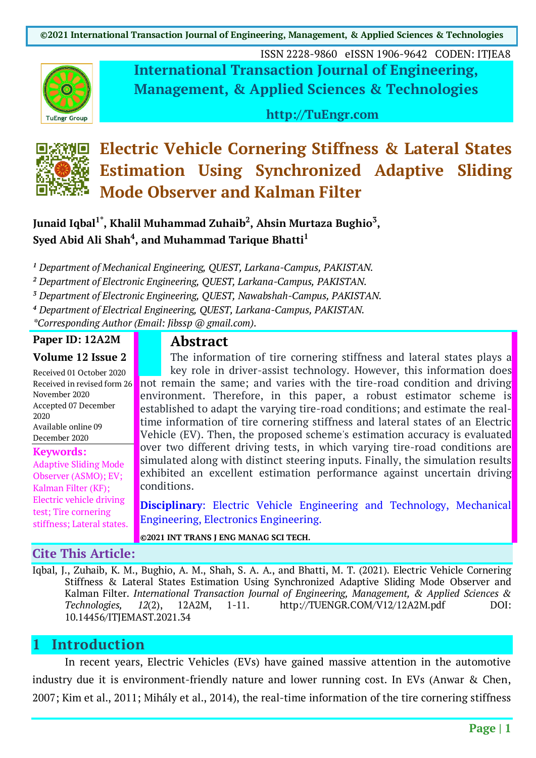**©2021 International Transaction Journal of Engineering, Management, & Applied Sciences & Technologies**



ISSN 2228-9860 eISSN 1906-9642 CODEN: ITJEA8 **International Transaction Journal of Engineering, Management, & Applied Sciences & Technologies**

**http://TuEngr.com**



# **Electric Vehicle Cornering Stiffness & Lateral States Estimation Using Synchronized Adaptive Sliding Mode Observer and Kalman Filter**

### **Junaid Iqbal1\*, Khalil Muhammad Zuhaib2, Ahsin Murtaza Bughio3, Syed Abid Ali Shah4, and Muhammad Tarique Bhatti1**

*<sup>1</sup> Department of Mechanical Engineering, QUEST, Larkana-Campus, PAKISTAN.*

*<sup>2</sup> Department of Electronic Engineering, QUEST, Larkana-Campus, PAKISTAN.*

*<sup>3</sup> Department of Electronic Engineering, QUEST, Nawabshah-Campus, PAKISTAN.*

*<sup>4</sup> Department of Electrical Engineering, QUEST, Larkana-Campus, PAKISTAN.*

*\*Corresponding Author (Email: Jibssp @ gmail.com).*

#### **Paper ID: 12A2M**

#### **Volume 12 Issue 2**

Received 01 October 2020 Received in revised form 26 November 2020 Accepted 07 December 2020 Available online 09 December 2020

#### **Keywords:**

Adaptive Sliding Mode Observer (ASMO); EV; Kalman Filter (KF); Electric vehicle driving test; Tire cornering stiffness; Lateral states.

#### **Cite This Article:**

**Abstract**

The information of tire cornering stiffness and lateral states plays a key role in driver-assist technology. However, this information does not remain the same; and varies with the tire-road condition and driving environment. Therefore, in this paper, a robust estimator scheme is established to adapt the varying tire-road conditions; and estimate the realtime information of tire cornering stiffness and lateral states of an Electric Vehicle (EV). Then, the proposed scheme's estimation accuracy is evaluated over two different driving tests, in which varying tire-road conditions are simulated along with distinct steering inputs. Finally, the simulation results exhibited an excellent estimation performance against uncertain driving conditions.

**Disciplinary:** Electric Vehicle Engineering and Technology, Mechanical Engineering, Electronics Engineering.

**©2021 INT TRANS J ENG MANAG SCI TECH.**

Iqbal, J., Zuhaib, K. M., Bughio, A. M., Shah, S. A. A., and Bhatti, M. T. (2021). Electric Vehicle Cornering Stiffness & Lateral States Estimation Using Synchronized Adaptive Sliding Mode Observer and Kalman Filter. *International Transaction Journal of Engineering, Management, & Applied Sciences & Technologies, 12*(2), 12A2M, 1-11. http://TUENGR.COM/V12/12A2M.pdf DOI: 10.14456/ITJEMAST.2021.34

## **1 Introduction**

In recent years, Electric Vehicles (EVs) have gained massive attention in the automotive industry due it is environment-friendly nature and lower running cost. In EVs (Anwar & Chen, 2007; Kim et al., 2011; Mihály et al., 2014), the real-time information of the tire cornering stiffness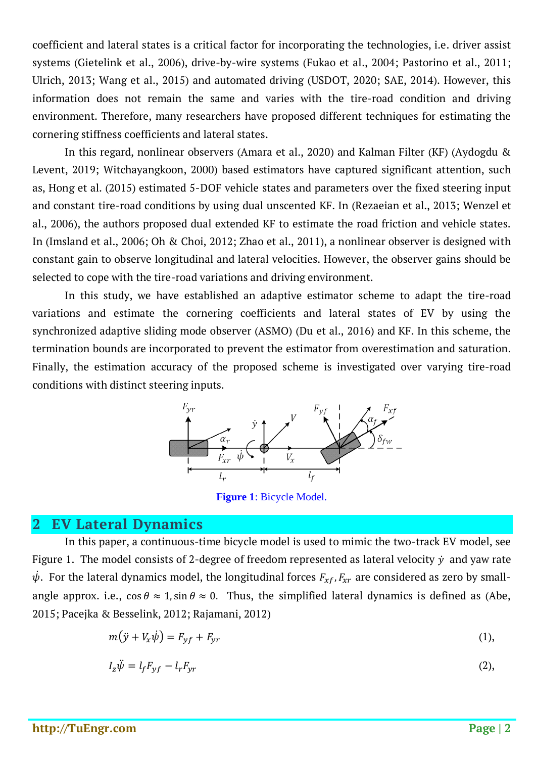coefficient and lateral states is a critical factor for incorporating the technologies, i.e. driver assist systems (Gietelink et al., 2006), drive-by-wire systems (Fukao et al., 2004; Pastorino et al., 2011; Ulrich, 2013; Wang et al., 2015) and automated driving (USDOT, 2020; SAE, 2014). However, this information does not remain the same and varies with the tire-road condition and driving environment. Therefore, many researchers have proposed different techniques for estimating the cornering stiffness coefficients and lateral states.

In this regard, nonlinear observers (Amara et al., 2020) and Kalman Filter (KF) (Aydogdu & Levent, 2019; Witchayangkoon, 2000) based estimators have captured significant attention, such as, Hong et al. (2015) estimated 5-DOF vehicle states and parameters over the fixed steering input and constant tire-road conditions by using dual unscented KF. In (Rezaeian et al., 2013; Wenzel et al., 2006), the authors proposed dual extended KF to estimate the road friction and vehicle states. In (Imsland et al., 2006; Oh & Choi, 2012; Zhao et al., 2011), a nonlinear observer is designed with constant gain to observe longitudinal and lateral velocities. However, the observer gains should be selected to cope with the tire-road variations and driving environment.

In this study, we have established an adaptive estimator scheme to adapt the tire-road variations and estimate the cornering coefficients and lateral states of EV by using the synchronized adaptive sliding mode observer (ASMO) (Du et al., 2016) and KF. In this scheme, the termination bounds are incorporated to prevent the estimator from overestimation and saturation. Finally, the estimation accuracy of the proposed scheme is investigated over varying tire-road conditions with distinct steering inputs.



**Figure 1**: Bicycle Model.

#### **2 EV Lateral Dynamics**

In this paper, a continuous-time bicycle model is used to mimic the two-track EV model, see Figure 1. The model consists of 2-degree of freedom represented as lateral velocity  $\dot{y}$  and yaw rate  $\psi.$  For the lateral dynamics model, the longitudinal forces  $F_{xf}$ , $F_{xr}$  are considered as zero by smallangle approx. i.e.,  $\cos \theta \approx 1$ ,  $\sin \theta \approx 0$ . Thus, the simplified lateral dynamics is defined as (Abe, 2015; Pacejka & Besselink, 2012; Rajamani, 2012)

$$
m(\ddot{y} + V_x \dot{\psi}) = F_{yf} + F_{yr} \tag{1}
$$

$$
I_z \ddot{\psi} = l_f F_{yf} - l_r F_{yr} \tag{2}
$$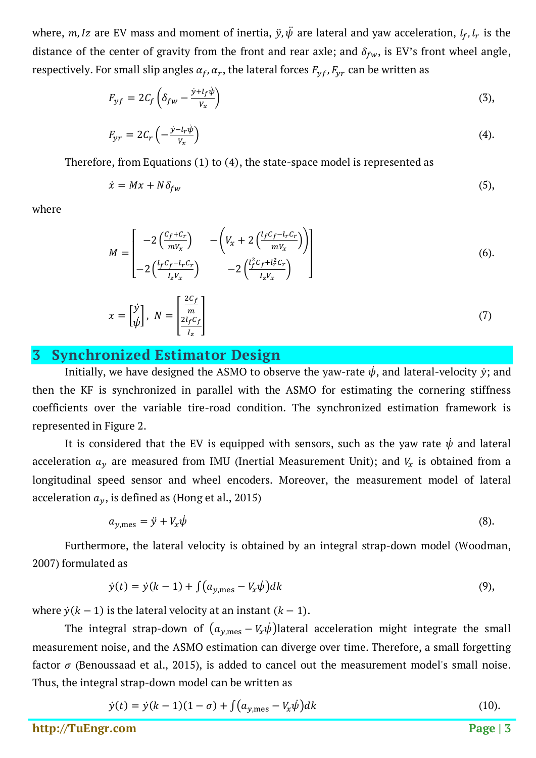where, m, Iz are EV mass and moment of inertia,  $\ddot{y}, \ddot{\psi}$  are lateral and yaw acceleration,  $l_f, l_r$  is the distance of the center of gravity from the front and rear axle; and  $\delta_{fw}$ , is EV's front wheel angle, respectively. For small slip angles  $\alpha_f$ ,  $\alpha_r$ , the lateral forces  $F_{\nu f}$ ,  $F_{\nu r}$  can be written as

$$
F_{yf} = 2C_f \left( \delta_{fw} - \frac{y + l_f \dot{\psi}}{v_x} \right) \tag{3}
$$

$$
F_{yr} = 2C_r \left( -\frac{\dot{y} - l_r \dot{\psi}}{V_x} \right) \tag{4}
$$

Therefore, from Equations (1) to (4), the state-space model is represented as

$$
\dot{x} = Mx + N\delta_{fw} \tag{5}
$$

where

$$
M = \begin{bmatrix} -2\left(\frac{C_f + C_r}{mV_x}\right) & -\left(V_x + 2\left(\frac{l_f C_f - l_r C_r}{mV_x}\right)\right) \\ -2\left(\frac{l_f C_f - l_r C_r}{l_z V_x}\right) & -2\left(\frac{l_f^2 C_f + l_r^2 C_r}{l_z V_x}\right) \end{bmatrix}
$$
(6).

$$
x = \begin{bmatrix} \dot{y} \\ \dot{\psi} \end{bmatrix}, \ N = \begin{bmatrix} \frac{2C_f}{m} \\ \frac{2l_f C_f}{l_z} \end{bmatrix}
$$
 (7)

### **3 Synchronized Estimator Design**

Initially, we have designed the ASMO to observe the yaw-rate  $\psi$ , and lateral-velocity  $\dot{y}$ ; and then the KF is synchronized in parallel with the ASMO for estimating the cornering stiffness coefficients over the variable tire-road condition. The synchronized estimation framework is represented in Figure 2.

It is considered that the EV is equipped with sensors, such as the yaw rate  $\dot{\psi}$  and lateral acceleration  $a_y$  are measured from IMU (Inertial Measurement Unit); and  $V_x$  is obtained from a longitudinal speed sensor and wheel encoders. Moreover, the measurement model of lateral acceleration  $a_y$ , is defined as (Hong et al., 2015)

$$
a_{y,\text{mes}} = \ddot{y} + V_x \dot{\psi} \tag{8}
$$

Furthermore, the lateral velocity is obtained by an integral strap-down model (Woodman, 2007) formulated as

$$
\dot{y}(t) = \dot{y}(k-1) + \int (a_{y,\text{mes}} - V_x \dot{\psi}) dk
$$
\n(9),

where  $\dot{y}(k-1)$  is the lateral velocity at an instant  $(k-1)$ .

The integral strap-down of  $(a_{y,\text{mes}} - V_x\psi)$ lateral acceleration might integrate the small measurement noise, and the ASMO estimation can diverge over time. Therefore, a small forgetting factor  $\sigma$  (Benoussaad et al., 2015), is added to cancel out the measurement model's small noise. Thus, the integral strap-down model can be written as

$$
\dot{y}(t) = \dot{y}(k-1)(1-\sigma) + \int (a_{y,\text{mes}} - V_x \dot{\psi}) dk
$$
\n(10).

**http://TuEngr.com Page | 3**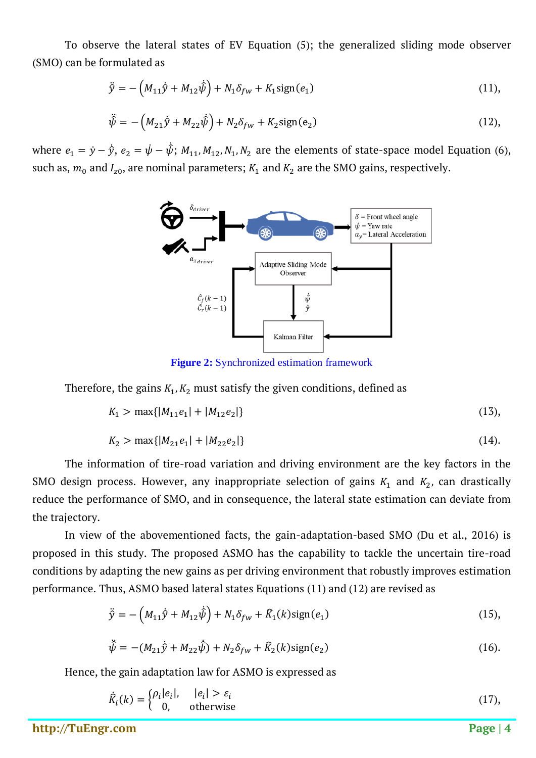To observe the lateral states of EV Equation (5); the generalized sliding mode observer (SMO) can be formulated as

$$
\ddot{\hat{y}} = -\left(M_{11}\dot{\hat{y}} + M_{12}\dot{\hat{\psi}}\right) + N_1\delta_{fw} + K_1\text{sign}(e_1)
$$
\n(11),

$$
\ddot{\hat{\psi}} = -\left(M_{21}\dot{\hat{y}} + M_{22}\dot{\hat{\psi}}\right) + N_2\delta_{fw} + K_2\text{sign}(e_2)
$$
\n(12),

where  $e_1 = \dot{y} - \dot{\hat{y}}, e_2 = \dot{\psi} - \hat{\psi}; M_{11}, M_{12}, N_1, N_2$  are the elements of state-space model Equation (6), such as,  $m_0$  and  $I_{z0}$ , are nominal parameters;  $K_1$  and  $K_2$  are the SMO gains, respectively.



**Figure 2:** Synchronized estimation framework

Therefore, the gains  $K_1, K_2$  must satisfy the given conditions, defined as

$$
K_1 > \max\{|M_{11}e_1| + |M_{12}e_2|\}\tag{13}
$$

$$
K_2 > \max\{|M_{21}e_1| + |M_{22}e_2|\}\tag{14}
$$

The information of tire-road variation and driving environment are the key factors in the SMO design process. However, any inappropriate selection of gains  $K_1$  and  $K_2$ , can drastically reduce the performance of SMO, and in consequence, the lateral state estimation can deviate from the trajectory.

In view of the abovementioned facts, the gain-adaptation-based SMO (Du et al., 2016) is proposed in this study. The proposed ASMO has the capability to tackle the uncertain tire-road conditions by adapting the new gains as per driving environment that robustly improves estimation performance. Thus, ASMO based lateral states Equations (11) and (12) are revised as

$$
\ddot{\hat{y}} = -\left(M_{11}\dot{\hat{y}} + M_{12}\dot{\hat{\psi}}\right) + N_1\delta_{fw} + \hat{K}_1(k)\text{sign}(e_1)
$$
\n(15),

$$
\ddot{\hat{\psi}} = -(M_{21}\dot{\hat{y}} + M_{22}\dot{\hat{\psi}}) + N_2\delta_{fw} + \hat{K}_2(k)\text{sign}(e_2)
$$
\n(16).

Hence, the gain adaptation law for ASMO is expressed as

$$
\dot{R}_i(k) = \begin{cases} \rho_i|e_i|, & |e_i| > \varepsilon_i \\ 0, & \text{otherwise} \end{cases} \tag{17}
$$

**http://TuEngr.com Page | 4**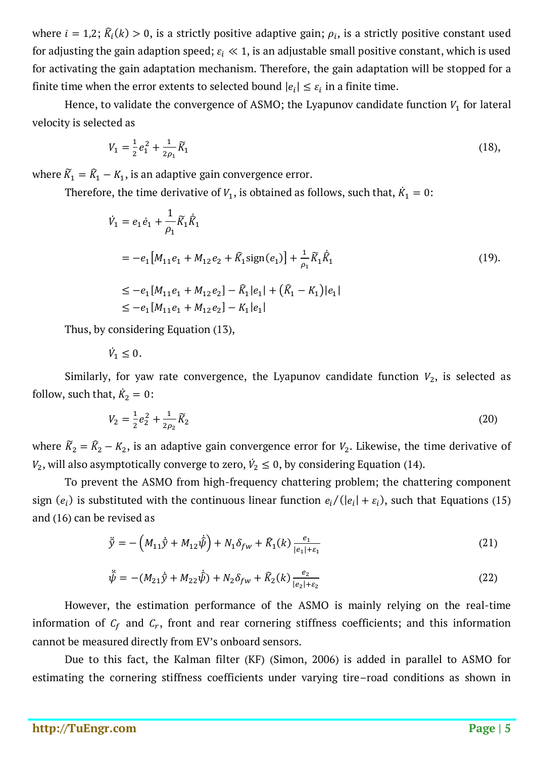where  $i = 1,2$ ;  $\hat{K}_i(k) > 0$ , is a strictly positive adaptive gain;  $\rho_i$ , is a strictly positive constant used for adjusting the gain adaption speed;  $\varepsilon_i \ll 1$ , is an adjustable small positive constant, which is used for activating the gain adaptation mechanism. Therefore, the gain adaptation will be stopped for a finite time when the error extents to selected bound  $|e_i| \leq \varepsilon_i$  in a finite time.

Hence, to validate the convergence of ASMO; the Lyapunov candidate function  $V_1$  for lateral velocity is selected as

$$
V_1 = \frac{1}{2}e_1^2 + \frac{1}{2\rho_1}\tilde{K}_1
$$
\n(18)

where  $\widetilde{K}_1 = \widehat{K}_1 - K_1$ , is an adaptive gain convergence error.

Therefore, the time derivative of  $V_1$ , is obtained as follows, such that,  $K_1 = 0$ :

$$
\dot{V}_1 = e_1 \dot{e}_1 + \frac{1}{\rho_1} \tilde{K}_1 \dot{K}_1
$$
\n
$$
= -e_1 \left[ M_{11} e_1 + M_{12} e_2 + \tilde{K}_1 \text{sign}(e_1) \right] + \frac{1}{\rho_1} \tilde{K}_1 \dot{K}_1
$$
\n
$$
\leq -e_1 \left[ M_{11} e_1 + M_{12} e_2 \right] - \tilde{K}_1 |e_1| + (\tilde{K}_1 - K_1) |e_1|
$$
\n
$$
\leq -e_1 \left[ M_{11} e_1 + M_{12} e_2 \right] - K_1 |e_1|
$$
\n(19)

Thus, by considering Equation (13),

 $V_1 \leq 0.$ 

Similarly, for yaw rate convergence, the Lyapunov candidate function  $V_2$ , is selected as follow, such that,  $K_2 = 0$ :

$$
V_2 = \frac{1}{2}e_2^2 + \frac{1}{2\rho_2}\widetilde{K}_2
$$
\n(20)

where  $\widetilde{K}_2 = \widehat{K}_2 - K_2$ , is an adaptive gain convergence error for  $V_2$ . Likewise, the time derivative of  $V_2$ , will also asymptotically converge to zero,  $\dot{V}_2 \leq 0$ , by considering Equation (14).

To prevent the ASMO from high-frequency chattering problem; the chattering component sign  $(e_i)$  is substituted with the continuous linear function  $e_i/(|e_i| + \varepsilon_i)$ , such that Equations (15) and (16) can be revised as

$$
\ddot{\hat{y}} = -\left(M_{11}\dot{\hat{y}} + M_{12}\dot{\hat{\psi}}\right) + N_1\delta_{fw} + \hat{K}_1(k)\frac{e_1}{|e_1| + \varepsilon_1}
$$
\n(21)

$$
\ddot{\hat{\psi}} = -(M_{21}\dot{\hat{y}} + M_{22}\dot{\hat{\psi}}) + N_2\delta_{fw} + \hat{K}_2(k)\frac{e_2}{|e_2| + \varepsilon_2}
$$
\n(22)

However, the estimation performance of the ASMO is mainly relying on the real-time information of  $C_f$  and  $C_r$ , front and rear cornering stiffness coefficients; and this information cannot be measured directly from EV's onboard sensors.

Due to this fact, the Kalman filter (KF) (Simon, 2006) is added in parallel to ASMO for estimating the cornering stiffness coefficients under varying tire–road conditions as shown in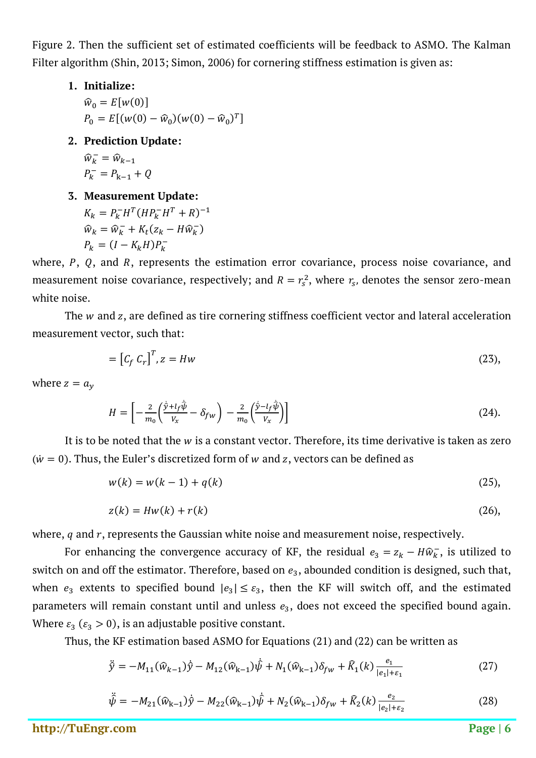Figure 2. Then the sufficient set of estimated coefficients will be feedback to ASMO. The Kalman Filter algorithm (Shin, 2013; Simon, 2006) for cornering stiffness estimation is given as:

**1. Initialize:**

 $\widehat{w}_0 = E[w(0)]$  $P_0 = E[(w(0) - \hat{w}_0)(w(0) - \hat{w}_0)^T]$ 

**2. Prediction Update:**

$$
\widehat{w}_k^- = \widehat{w}_{k-1}
$$

$$
P_k^- = P_{k-1} + Q
$$

**3. Measurement Update:**

$$
K_k = P_k^- H^T (H P_k^- H^T + R)^{-1}
$$
  

$$
\widehat{w}_k = \widehat{w}_k^- + K_t (z_k - H \widehat{w}_k^-)
$$
  

$$
P_k = (I - K_k H) P_k^-
$$

where,  $P$ ,  $Q$ , and  $R$ , represents the estimation error covariance, process noise covariance, and measurement noise covariance, respectively; and  $R = r_s^2$ , where  $r_s$ , denotes the sensor zero-mean white noise.

The  $w$  and  $z$ , are defined as tire cornering stiffness coefficient vector and lateral acceleration measurement vector, such that:

$$
= [C_f C_r]^T, z = Hw \tag{23},
$$

where  $z = a_v$ 

$$
H = \left[ -\frac{2}{m_0} \left( \frac{\dot{\hat{y}} + l_f \hat{\hat{\psi}}}{V_x} - \delta_{fw} \right) - \frac{2}{m_0} \left( \frac{\dot{\hat{y}} - l_f \hat{\psi}}{V_x} \right) \right]
$$
(24).

It is to be noted that the  $w$  is a constant vector. Therefore, its time derivative is taken as zero  $(w = 0)$ . Thus, the Euler's discretized form of w and z, vectors can be defined as

$$
w(k) = w(k-1) + q(k)
$$
 (25),

$$
z(k) = Hw(k) + r(k)
$$
\n<sup>(26)</sup>

where,  $q$  and  $r$ , represents the Gaussian white noise and measurement noise, respectively.

For enhancing the convergence accuracy of KF, the residual  $e_3 = z_k - H\widehat{w}_k$ , is utilized to switch on and off the estimator. Therefore, based on  $e_3$ , abounded condition is designed, such that, when  $e_3$  extents to specified bound  $|e_3| \leq \varepsilon_3$ , then the KF will switch off, and the estimated parameters will remain constant until and unless  $e_3$ , does not exceed the specified bound again. Where  $\varepsilon_3$  ( $\varepsilon_3 > 0$ ), is an adjustable positive constant.

Thus, the KF estimation based ASMO for Equations (21) and (22) can be written as

$$
\ddot{\hat{y}} = -M_{11}(\hat{w}_{k-1})\dot{\hat{y}} - M_{12}(\hat{w}_{k-1})\dot{\hat{\psi}} + N_1(\hat{w}_{k-1})\delta_{fw} + \hat{K}_1(k)\frac{e_1}{|e_1| + \varepsilon_1}
$$
(27)

$$
\hat{\psi} = -M_{21}(\hat{w}_{k-1})\hat{y} - M_{22}(\hat{w}_{k-1})\hat{\psi} + N_2(\hat{w}_{k-1})\delta_{fw} + \hat{K}_2(k)\frac{e_2}{|e_2| + \varepsilon_2}
$$
(28)

**http://TuEngr.com Page | 6**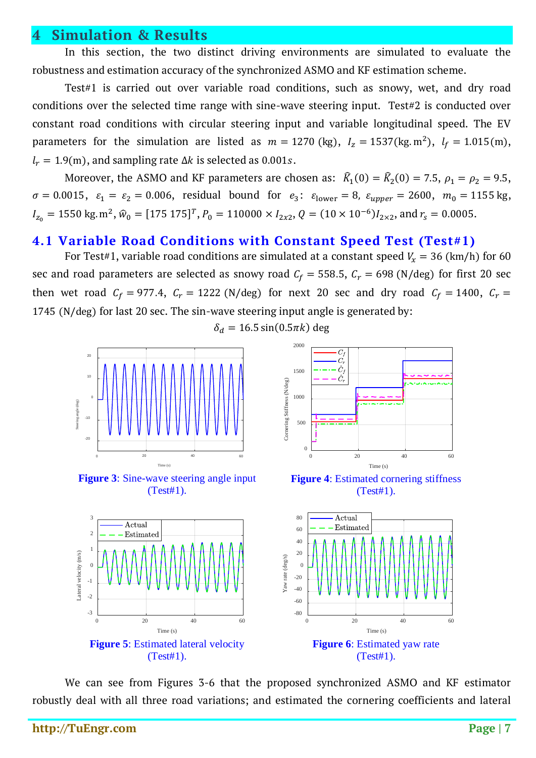#### **4 Simulation & Results**

In this section, the two distinct driving environments are simulated to evaluate the robustness and estimation accuracy of the synchronized ASMO and KF estimation scheme.

Test#1 is carried out over variable road conditions, such as snowy, wet, and dry road conditions over the selected time range with sine-wave steering input. Test#2 is conducted over constant road conditions with circular steering input and variable longitudinal speed. The EV parameters for the simulation are listed as  $m = 1270$  (kg),  $I_z = 1537$  (kg. m<sup>2</sup>),  $I_f = 1.015$  (m),  $l_r = 1.9(m)$ , and sampling rate  $\Delta k$  is selected as 0.001s.

Moreover, the ASMO and KF parameters are chosen as:  $\hat{K}_1(0) = \hat{K}_2(0) = 7.5$ ,  $\rho_1 = \rho_2 = 9.5$ ,  $\sigma = 0.0015$ ,  $\varepsilon_1 = \varepsilon_2 = 0.006$ , residual bound for  $e_3$ :  $\varepsilon_{\text{lower}} = 8$ ,  $\varepsilon_{\text{upper}} = 2600$ ,  $m_0 = 1155$  kg,  $I_{z_0} = 1550 \text{ kg} \cdot \text{m}^2$ ,  $\hat{w}_0 = [175 \ 175]^T$ ,  $P_0 = 110000 \times I_{2x2}$ ,  $Q = (10 \times 10^{-6})I_{2\times 2}$ , and  $r_s = 0.0005$ .

#### **4.1 Variable Road Conditions with Constant Speed Test (Test#1)**

For Test#1, variable road conditions are simulated at a constant speed  $V_x = 36$  (km/h) for 60 sec and road parameters are selected as snowy road  $C_f = 558.5$ ,  $C_r = 698$  (N/deg) for first 20 sec then wet road  $C_f = 977.4$ ,  $C_r = 1222$  (N/deg) for next 20 sec and dry road  $C_f = 1400$ ,  $C_r =$ 1745 (N/deg) for last 20 sec. The sin-wave steering input angle is generated by:

 $\delta_d = 16.5 \sin(0.5 \pi k)$  deg



**Figure 3**: Sine-wave steering angle input (Test#1).



**Figure 4:** Estimated cornering stiffness (Test#1).



We can see from Figures 3-6 that the proposed synchronized ASMO and KF estimator robustly deal with all three road variations; and estimated the cornering coefficients and lateral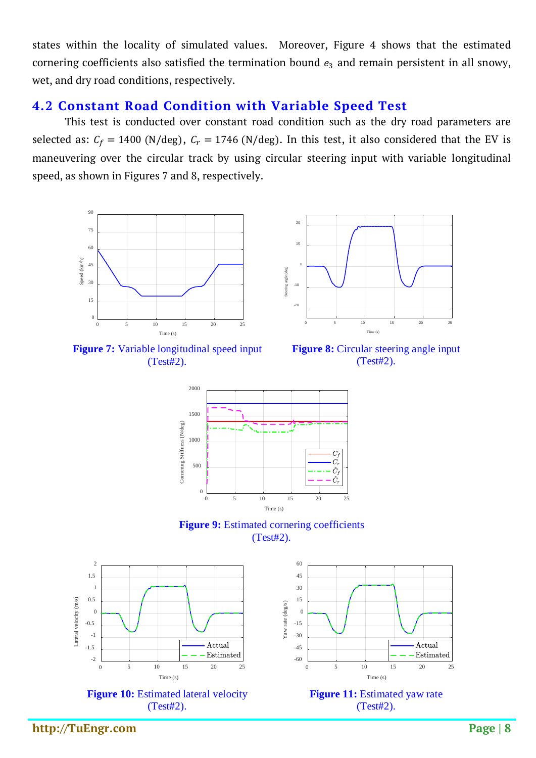states within the locality of simulated values. Moreover, Figure 4 shows that the estimated cornering coefficients also satisfied the termination bound  $e_3$  and remain persistent in all snowy, wet, and dry road conditions, respectively.

#### **4.2 Constant Road Condition with Variable Speed Test**

This test is conducted over constant road condition such as the dry road parameters are selected as:  $C_f = 1400$  (N/deg),  $C_r = 1746$  (N/deg). In this test, it also considered that the EV is maneuvering over the circular track by using circular steering input with variable longitudinal speed, as shown in Figures 7 and 8, respectively.



**Figure 7:** Variable longitudinal speed input (Test#2).



**Figure 8:** Circular steering angle input (Test#2).







60 45 30 15 Yaw rate (deg/s) Yaw rate (deg/s) $\overline{0}$ -15 -30 Actual -45 Estimated -60 0 5 10 15 20 25 Time (s) **Figure 11:** Estimated yaw rate (Test#2).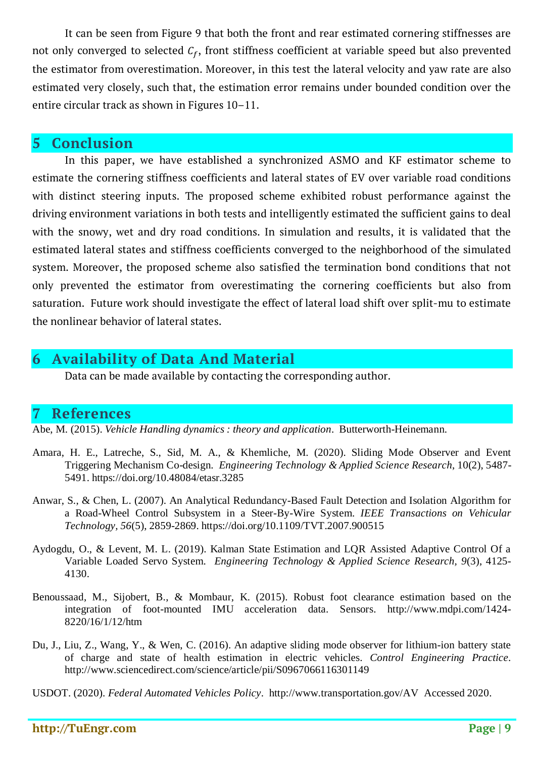It can be seen from Figure 9 that both the front and rear estimated cornering stiffnesses are not only converged to selected  $C_f$ , front stiffness coefficient at variable speed but also prevented the estimator from overestimation. Moreover, in this test the lateral velocity and yaw rate are also estimated very closely, such that, the estimation error remains under bounded condition over the entire circular track as shown in Figures 10–11.

#### **5 Conclusion**

In this paper, we have established a synchronized ASMO and KF estimator scheme to estimate the cornering stiffness coefficients and lateral states of EV over variable road conditions with distinct steering inputs. The proposed scheme exhibited robust performance against the driving environment variations in both tests and intelligently estimated the sufficient gains to deal with the snowy, wet and dry road conditions. In simulation and results, it is validated that the estimated lateral states and stiffness coefficients converged to the neighborhood of the simulated system. Moreover, the proposed scheme also satisfied the termination bond conditions that not only prevented the estimator from overestimating the cornering coefficients but also from saturation. Future work should investigate the effect of lateral load shift over split-mu to estimate the nonlinear behavior of lateral states.

# **6 Availability of Data And Material**

Data can be made available by contacting the corresponding author.

# **7 References**

Abe, M. (2015). *Vehicle Handling dynamics : theory and application*. Butterworth-Heinemann.

- Amara, H. E., Latreche, S., Sid, M. A., & Khemliche, M. (2020). Sliding Mode Observer and Event Triggering Mechanism Co-design. *Engineering Technology & Applied Science Research*, 10(2), 5487- 5491. https://doi.org/10.48084/etasr.3285
- Anwar, S., & Chen, L. (2007). An Analytical Redundancy-Based Fault Detection and Isolation Algorithm for a Road-Wheel Control Subsystem in a Steer-By-Wire System. *IEEE Transactions on Vehicular Technology, 56*(5), 2859-2869. https://doi.org/10.1109/TVT.2007.900515
- Aydogdu, O., & Levent, M. L. (2019). Kalman State Estimation and LQR Assisted Adaptive Control Of a Variable Loaded Servo System. *Engineering Technology & Applied Science Research, 9*(3), 4125- 4130.
- Benoussaad, M., Sijobert, B., & Mombaur, K. (2015). Robust foot clearance estimation based on the integration of foot-mounted IMU acceleration data. Sensors. http://www.mdpi.com/1424- 8220/16/1/12/htm
- Du, J., Liu, Z., Wang, Y., & Wen, C. (2016). An adaptive sliding mode observer for lithium-ion battery state of charge and state of health estimation in electric vehicles. *Control Engineering Practice*. http://www.sciencedirect.com/science/article/pii/S0967066116301149

USDOT. (2020). *Federal Automated Vehicles Policy*. http://www.transportation.gov/AV Accessed 2020.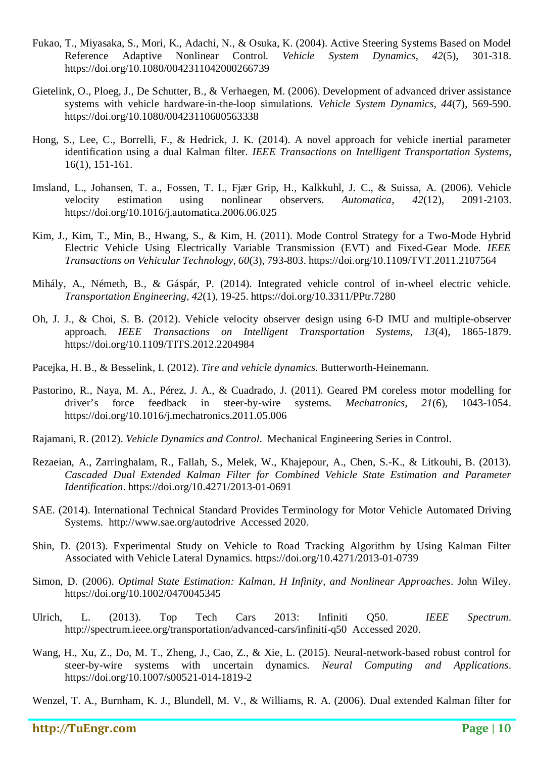- Fukao, T., Miyasaka, S., Mori, K., Adachi, N., & Osuka, K. (2004). Active Steering Systems Based on Model Reference Adaptive Nonlinear Control. *Vehicle System Dynamics, 42*(5), 301-318. https://doi.org/10.1080/0042311042000266739
- Gietelink, O., Ploeg, J., De Schutter, B., & Verhaegen, M. (2006). Development of advanced driver assistance systems with vehicle hardware-in-the-loop simulations. *Vehicle System Dynamics, 44*(7), 569-590. https://doi.org/10.1080/00423110600563338
- Hong, S., Lee, C., Borrelli, F., & Hedrick, J. K. (2014). A novel approach for vehicle inertial parameter identification using a dual Kalman filter. *IEEE Transactions on Intelligent Transportation Systems*, 16(1), 151-161.
- Imsland, L., Johansen, T. a., Fossen, T. I., Fjær Grip, H., Kalkkuhl, J. C., & Suissa, A. (2006). Vehicle velocity estimation using nonlinear observers. *Automatica, 42*(12), 2091-2103. https://doi.org/10.1016/j.automatica.2006.06.025
- Kim, J., Kim, T., Min, B., Hwang, S., & Kim, H. (2011). Mode Control Strategy for a Two-Mode Hybrid Electric Vehicle Using Electrically Variable Transmission (EVT) and Fixed-Gear Mode. *IEEE Transactions on Vehicular Technology, 60*(3), 793-803. https://doi.org/10.1109/TVT.2011.2107564
- Mihály, A., Németh, B., & Gáspár, P. (2014). Integrated vehicle control of in-wheel electric vehicle. *Transportation Engineering, 42*(1), 19-25. https://doi.org/10.3311/PPtr.7280
- Oh, J. J., & Choi, S. B. (2012). Vehicle velocity observer design using 6-D IMU and multiple-observer approach. *IEEE Transactions on Intelligent Transportation Systems, 13*(4), 1865-1879. https://doi.org/10.1109/TITS.2012.2204984
- Pacejka, H. B., & Besselink, I. (2012). *Tire and vehicle dynamics.* Butterworth-Heinemann.
- Pastorino, R., Naya, M. A., Pérez, J. A., & Cuadrado, J. (2011). Geared PM coreless motor modelling for driver's force feedback in steer-by-wire systems. *Mechatronics, 21*(6), 1043-1054. https://doi.org/10.1016/j.mechatronics.2011.05.006
- Rajamani, R. (2012). *Vehicle Dynamics and Control*. Mechanical Engineering Series in Control.
- Rezaeian, A., Zarringhalam, R., Fallah, S., Melek, W., Khajepour, A., Chen, S.-K., & Litkouhi, B. (2013). *Cascaded Dual Extended Kalman Filter for Combined Vehicle State Estimation and Parameter Identification*. https://doi.org/10.4271/2013-01-0691
- SAE. (2014). International Technical Standard Provides Terminology for Motor Vehicle Automated Driving Systems. http://www.sae.org/autodrive Accessed 2020.
- Shin, D. (2013). Experimental Study on Vehicle to Road Tracking Algorithm by Using Kalman Filter Associated with Vehicle Lateral Dynamics. https://doi.org/10.4271/2013-01-0739
- Simon, D. (2006). *Optimal State Estimation: Kalman, H Infinity, and Nonlinear Approaches*. John Wiley. https://doi.org/10.1002/0470045345
- Ulrich, L. (2013). Top Tech Cars 2013: Infiniti Q50. *IEEE Spectrum*. http://spectrum.ieee.org/transportation/advanced-cars/infiniti-q50 Accessed 2020.
- Wang, H., Xu, Z., Do, M. T., Zheng, J., Cao, Z., & Xie, L. (2015). Neural-network-based robust control for steer-by-wire systems with uncertain dynamics. *Neural Computing and Applications*. https://doi.org/10.1007/s00521-014-1819-2

Wenzel, T. A., Burnham, K. J., Blundell, M. V., & Williams, R. A. (2006). Dual extended Kalman filter for